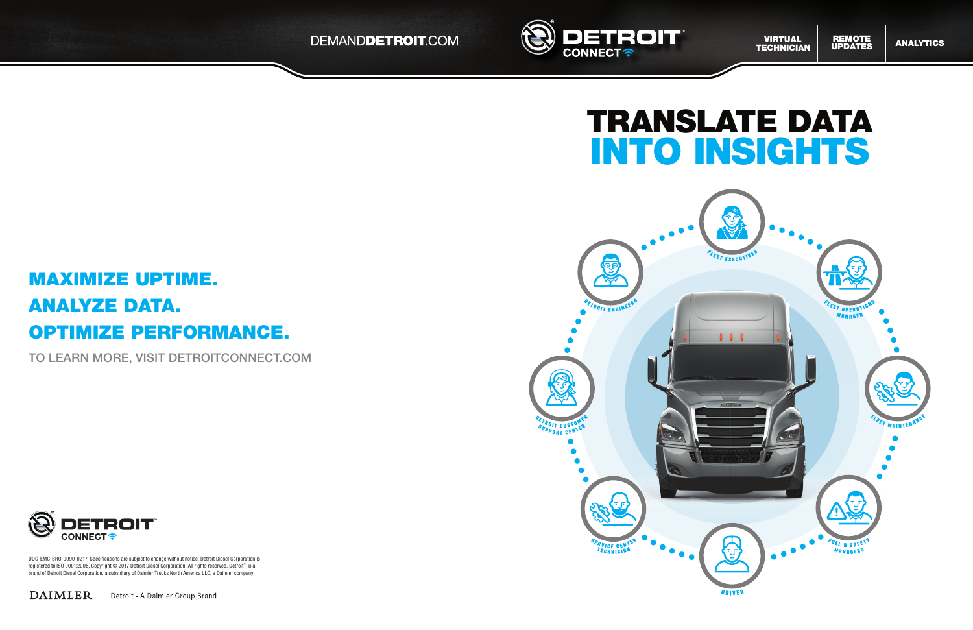



brand of Detroit Diesel Corporation, a subsidiary of Daimler Trucks North America LLC, a Daimler company. DDC-EMC-BRO-0090-0217. Specifications are subject to change without notice. Detroit Diesel Corporation is registered to ISO 9001:2008. Copyright © 2017 Detroit Diesel Corporation. All rights reserved. Detroit™ is a

DAIMLER | Detroit - A Daimler Group Brand

# MAXIMIZE UPTIME. ANALYZE DATA. OPTIMIZE PERFORMANCE.

TO LEARN MORE, VISIT DETROITCONNECT.COM





**ANALYTICS**